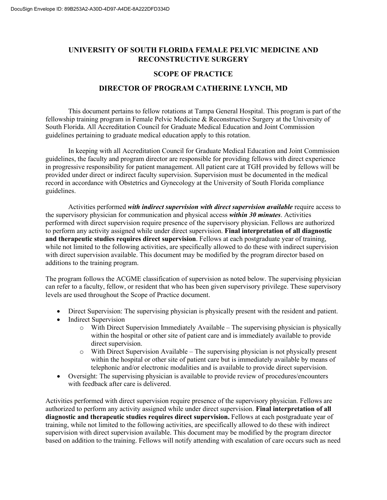# **UNIVERSITY OF SOUTH FLORIDA FEMALE PELVIC MEDICINE AND RECONSTRUCTIVE SURGERY**

#### **SCOPE OF PRACTICE**

# **DIRECTOR OF PROGRAM CATHERINE LYNCH, MD**

This document pertains to fellow rotations at Tampa General Hospital. This program is part of the fellowship training program in Female Pelvic Medicine & Reconstructive Surgery at the University of South Florida. All Accreditation Council for Graduate Medical Education and Joint Commission guidelines pertaining to graduate medical education apply to this rotation.

In keeping with all Accreditation Council for Graduate Medical Education and Joint Commission guidelines, the faculty and program director are responsible for providing fellows with direct experience in progressive responsibility for patient management. All patient care at TGH provided by fellows will be provided under direct or indirect faculty supervision. Supervision must be documented in the medical record in accordance with Obstetrics and Gynecology at the University of South Florida compliance guidelines.

Activities performed *with indirect supervision with direct supervision available* require access to the supervisory physician for communication and physical access *within 30 minutes*. Activities performed with direct supervision require presence of the supervisory physician. Fellows are authorized to perform any activity assigned while under direct supervision. **Final interpretation of all diagnostic and therapeutic studies requires direct supervision**. Fellows at each postgraduate year of training, while not limited to the following activities, are specifically allowed to do these with indirect supervision with direct supervision available. This document may be modified by the program director based on additions to the training program.

The program follows the ACGME classification of supervision as noted below. The supervising physician can refer to a faculty, fellow, or resident that who has been given supervisory privilege. These supervisory levels are used throughout the Scope of Practice document.

- Direct Supervision: The supervising physician is physically present with the resident and patient.
- Indirect Supervision
	- $\circ$  With Direct Supervision Immediately Available The supervising physician is physically within the hospital or other site of patient care and is immediately available to provide direct supervision.
	- o With Direct Supervision Available The supervising physician is not physically present within the hospital or other site of patient care but is immediately available by means of telephonic and/or electronic modalities and is available to provide direct supervision.
- Oversight: The supervising physician is available to provide review of procedures/encounters with feedback after care is delivered.

Activities performed with direct supervision require presence of the supervisory physician. Fellows are authorized to perform any activity assigned while under direct supervision. **Final interpretation of all diagnostic and therapeutic studies requires direct supervision.** Fellows at each postgraduate year of training, while not limited to the following activities, are specifically allowed to do these with indirect supervision with direct supervision available. This document may be modified by the program director based on addition to the training. Fellows will notify attending with escalation of care occurs such as need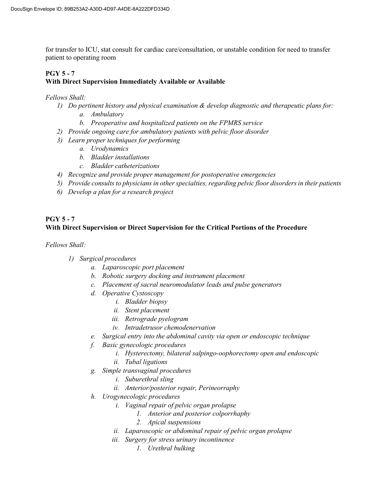for transfer to ICU, stat consult for cardiac care/consultation, or unstable condition for need to transfer patient to operating room

# **PGY 5 - 7**

### **With Direct Supervision Immediately Available or Available**

#### *Fellows Shall:*

- *1) Do pertinent history and physical examination & develop diagnostic and therapeutic plans for:*
	- *a. Ambulatory*
	- *b. Preoperative and hospitalized patients on the FPMRS service*
- *2) Provide ongoing care for ambulatory patients with pelvic floor disorder*
- *3) Learn proper techniques for performing*
	- *a. Urodynamics*
	- *b. Bladder installations*
	- *c. Bladder catheterizations*
- *4) Recognize and provide proper management for postoperative emergencies*
- *5) Provide consults to physicians in other specialties, regarding pelvic floor disorders in their patients*
- *6) Develop a plan for a research project*

# **PGY 5 - 7**

# **With Direct Supervision or Direct Supervision for the Critical Portions of the Procedure**

*Fellows Shall:* 

- *1) Surgical procedures*
	- *a. Laparoscopic port placement*
	- *b. Robotic surgery docking and instrument placement*
	- *c. Placement of sacral neuromodulator leads and pulse generators*
	- *d. Operative Cystoscopy*
		- *i. Bladder biopsy*
		- *ii. Stent placement*
		- *iii. Retrograde pyelogram*
		- *iv. Intradetrusor chemodenervation*
	- *e. Surgical entry into the abdominal cavity via open or endoscopic technique*
	- *f. Basic gynecologic procedures*
		- *i. Hysterectomy, bilateral salpingo-oophorectomy open and endoscopic*
		- *ii. Tubal ligations*
	- *g. Simple transvaginal procedures*
		- *i. Suburethral sling*
		- *ii. Anterior/posterior repair, Perineorraphy*
	- *h. Urogynecologic procedures*
		- *i. Vaginal repair of pelvic organ prolapse*
			- *1. Anterior and posterior colporrhaphy*
			- *2. Apical suspensions*
		- *ii. Laparoscopic or abdominal repair of pelvic organ prolapse*
		- *iii. Surgery for stress urinary incontinence*
			- *1. Urethral bulking*